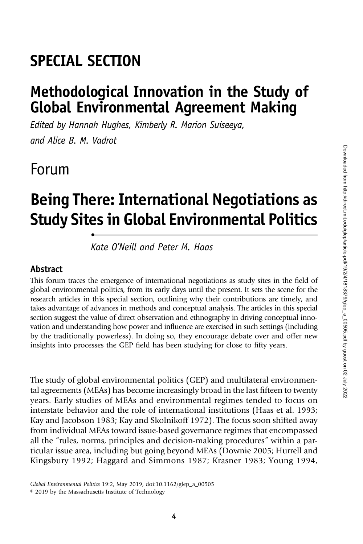## SPECIAL SECTION

•

### Methodological Innovation in the Study of Global Environmental Agreement Making

Edited by Hannah Hughes, Kimberly R. Marion Suiseeya, and Alice B. M. Vadrot

### Forum

# Being There: International Negotiations as Study Sites in Global Environmental Politics

Kate O'Neill and Peter M. Haas

#### Abstract

This forum traces the emergence of international negotiations as study sites in the field of global environmental politics, from its early days until the present. It sets the scene for the research articles in this special section, outlining why their contributions are timely, and takes advantage of advances in methods and conceptual analysis. The articles in this special section suggest the value of direct observation and ethnography in driving conceptual innovation and understanding how power and influence are exercised in such settings (including by the traditionally powerless). In doing so, they encourage debate over and offer new insights into processes the GEP field has been studying for close to fifty years.

The study of global environmental politics (GEP) and multilateral environmental agreements (MEAs) has become increasingly broad in the last fifteen to twenty years. Early studies of MEAs and environmental regimes tended to focus on interstate behavior and the role of international institutions (Haas et al. 1993; Kay and Jacobson 1983; Kay and Skolnikoff 1972). The focus soon shifted away from individual MEAs toward issue-based governance regimes that encompassed all the "rules, norms, principles and decision-making procedures" within a particular issue area, including but going beyond MEAs (Downie 2005; Hurrell and Kingsbury 1992; Haggard and Simmons 1987; Krasner 1983; Young 1994,

Global Environmental Politics 19:2, May 2019, doi:10.1162/glep\_a\_00505

© 2019 by the Massachusetts Institute of Technology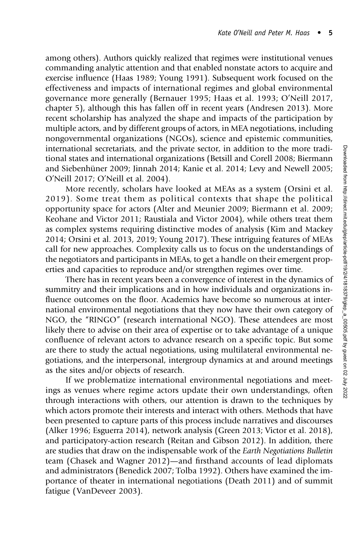among others). Authors quickly realized that regimes were institutional venues commanding analytic attention and that enabled nonstate actors to acquire and exercise influence (Haas 1989; Young 1991). Subsequent work focused on the effectiveness and impacts of international regimes and global environmental governance more generally (Bernauer 1995; Haas et al. 1993; O'Neill 2017, chapter 5), although this has fallen off in recent years (Andresen 2013). More recent scholarship has analyzed the shape and impacts of the participation by multiple actors, and by different groups of actors, in MEA negotiations, including nongovernmental organizations (NGOs), science and epistemic communities, international secretariats, and the private sector, in addition to the more traditional states and international organizations (Betsill and Corell 2008; Biermann and Siebenhüner 2009; Jinnah 2014; Kanie et al. 2014; Levy and Newell 2005; O'Neill 2017; O'Neill et al. 2004).

More recently, scholars have looked at MEAs as a system (Orsini et al. 2019). Some treat them as political contexts that shape the political opportunity space for actors (Alter and Meunier 2009; Biermann et al. 2009; Keohane and Victor 2011; Raustiala and Victor 2004), while others treat them as complex systems requiring distinctive modes of analysis (Kim and Mackey 2014; Orsini et al. 2013, 2019; Young 2017). These intriguing features of MEAs call for new approaches. Complexity calls us to focus on the understandings of the negotiators and participants in MEAs, to get a handle on their emergent properties and capacities to reproduce and/or strengthen regimes over time.

There has in recent years been a convergence of interest in the dynamics of summitry and their implications and in how individuals and organizations influence outcomes on the floor. Academics have become so numerous at international environmental negotiations that they now have their own category of NGO, the "RINGO" (research international NGO). These attendees are most likely there to advise on their area of expertise or to take advantage of a unique confluence of relevant actors to advance research on a specific topic. But some are there to study the actual negotiations, using multilateral environmental negotiations, and the interpersonal, intergroup dynamics at and around meetings as the sites and/or objects of research.

If we problematize international environmental negotiations and meetings as venues where regime actors update their own understandings, often through interactions with others, our attention is drawn to the techniques by which actors promote their interests and interact with others. Methods that have been presented to capture parts of this process include narratives and discourses (Alker 1996; Esguerra 2014), network analysis (Green 2013; Victor et al. 2018), and participatory-action research (Reitan and Gibson 2012). In addition, there are studies that draw on the indispensable work of the Earth Negotiations Bulletin team (Chasek and Wagner 2012)—and firsthand accounts of lead diplomats and administrators (Benedick 2007; Tolba 1992). Others have examined the importance of theater in international negotiations (Death 2011) and of summit fatigue (VanDeveer 2003).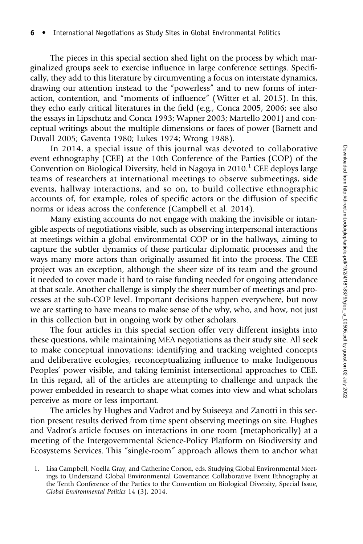The pieces in this special section shed light on the process by which marginalized groups seek to exercise influence in large conference settings. Specifically, they add to this literature by circumventing a focus on interstate dynamics, drawing our attention instead to the "powerless" and to new forms of interaction, contention, and "moments of influence" (Witter et al. 2015). In this, they echo early critical literatures in the field (e.g., Conca 2005, 2006; see also the essays in Lipschutz and Conca 1993; Wapner 2003; Martello 2001) and conceptual writings about the multiple dimensions or faces of power (Barnett and Duvall 2005; Gaventa 1980; Lukes 1974; Wrong 1988).

In 2014, a special issue of this journal was devoted to collaborative event ethnography (CEE) at the 10th Conference of the Parties (COP) of the Convention on Biological Diversity, held in Nagoya in  $2010<sup>1</sup>$  CEE deploys large teams of researchers at international meetings to observe submeetings, side events, hallway interactions, and so on, to build collective ethnographic accounts of, for example, roles of specific actors or the diffusion of specific norms or ideas across the conference (Campbell et al. 2014).

Many existing accounts do not engage with making the invisible or intangible aspects of negotiations visible, such as observing interpersonal interactions at meetings within a global environmental COP or in the hallways, aiming to capture the subtler dynamics of these particular diplomatic processes and the ways many more actors than originally assumed fit into the process. The CEE project was an exception, although the sheer size of its team and the ground it needed to cover made it hard to raise funding needed for ongoing attendance at that scale. Another challenge is simply the sheer number of meetings and processes at the sub-COP level. Important decisions happen everywhere, but now we are starting to have means to make sense of the why, who, and how, not just in this collection but in ongoing work by other scholars.

The four articles in this special section offer very different insights into these questions, while maintaining MEA negotiations as their study site. All seek to make conceptual innovations: identifying and tracking weighted concepts and deliberative ecologies, reconceptualizing influence to make Indigenous Peoples' power visible, and taking feminist intersectional approaches to CEE. In this regard, all of the articles are attempting to challenge and unpack the power embedded in research to shape what comes into view and what scholars perceive as more or less important.

The articles by Hughes and Vadrot and by Suiseeya and Zanotti in this section present results derived from time spent observing meetings on site. Hughes and Vadrot's article focuses on interactions in one room (metaphorically) at a meeting of the Intergovernmental Science-Policy Platform on Biodiversity and Ecosystems Services. This "single-room" approach allows them to anchor what

<sup>1.</sup> Lisa Campbell, Noella Gray, and Catherine Corson, eds. Studying Global Environmental Meetings to Understand Global Environmental Governance: Collaborative Event Ethnography at the Tenth Conference of the Parties to the Convention on Biological Diversity, Special Issue, Global Environmental Politics 14 (3), 2014.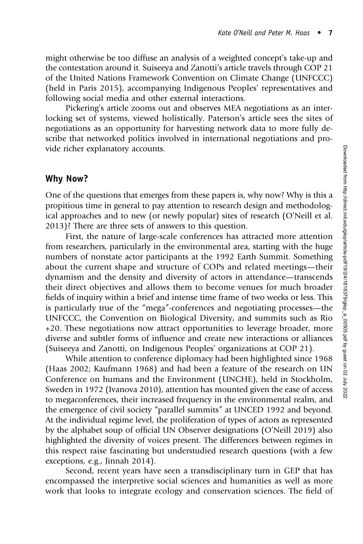might otherwise be too diffuse an analysis of a weighted concept's take-up and the contestation around it. Suiseeya and Zanotti's article travels through COP 21 of the United Nations Framework Convention on Climate Change (UNFCCC) (held in Paris 2015), accompanying Indigenous Peoples' representatives and following social media and other external interactions.

Pickering's article zooms out and observes MEA negotiations as an interlocking set of systems, viewed holistically. Paterson's article sees the sites of negotiations as an opportunity for harvesting network data to more fully describe that networked politics involved in international negotiations and provide richer explanatory accounts.

#### Why Now?

One of the questions that emerges from these papers is, why now? Why is this a propitious time in general to pay attention to research design and methodological approaches and to new (or newly popular) sites of research (O'Neill et al. 2013)? There are three sets of answers to this question.

First, the nature of large-scale conferences has attracted more attention from researchers, particularly in the environmental area, starting with the huge numbers of nonstate actor participants at the 1992 Earth Summit. Something about the current shape and structure of COPs and related meetings—their dynamism and the density and diversity of actors in attendance—transcends their direct objectives and allows them to become venues for much broader fields of inquiry within a brief and intense time frame of two weeks or less. This is particularly true of the "mega"-conferences and negotiating processes—the UNFCCC, the Convention on Biological Diversity, and summits such as Rio +20. These negotiations now attract opportunities to leverage broader, more diverse and subtler forms of influence and create new interactions or alliances (Suiseeya and Zanotti, on Indigenous Peoples' organizations at COP 21).

While attention to conference diplomacy had been highlighted since 1968 (Haas 2002; Kaufmann 1968) and had been a feature of the research on UN Conference on humans and the Environment (UNCHE), held in Stockholm, Sweden in 1972 (Ivanova 2010), attention has mounted given the ease of access to megaconferences, their increased frequency in the environmental realm, and the emergence of civil society "parallel summits" at UNCED 1992 and beyond. At the individual regime level, the proliferation of types of actors as represented by the alphabet soup of official UN Observer designations (O'Neill 2019) also highlighted the diversity of voices present. The differences between regimes in this respect raise fascinating but understudied research questions (with a few exceptions, e.g., Jinnah 2014).

Second, recent years have seen a transdisciplinary turn in GEP that has encompassed the interpretive social sciences and humanities as well as more work that looks to integrate ecology and conservation sciences. The field of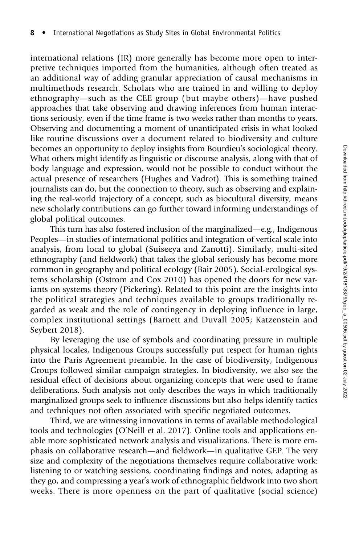international relations (IR) more generally has become more open to interpretive techniques imported from the humanities, although often treated as an additional way of adding granular appreciation of causal mechanisms in multimethods research. Scholars who are trained in and willing to deploy ethnography—such as the CEE group (but maybe others)—have pushed approaches that take observing and drawing inferences from human interactions seriously, even if the time frame is two weeks rather than months to years. Observing and documenting a moment of unanticipated crisis in what looked like routine discussions over a document related to biodiversity and culture becomes an opportunity to deploy insights from Bourdieu's sociological theory. What others might identify as linguistic or discourse analysis, along with that of body language and expression, would not be possible to conduct without the actual presence of researchers (Hughes and Vadrot). This is something trained journalists can do, but the connection to theory, such as observing and explaining the real-world trajectory of a concept, such as biocultural diversity, means new scholarly contributions can go further toward informing understandings of global political outcomes.

This turn has also fostered inclusion of the marginalized—e.g., Indigenous Peoples—in studies of international politics and integration of vertical scale into analysis, from local to global (Suiseeya and Zanotti). Similarly, multi-sited ethnography (and fieldwork) that takes the global seriously has become more common in geography and political ecology (Bair 2005). Social-ecological systems scholarship (Ostrom and Cox 2010) has opened the doors for new variants on systems theory (Pickering). Related to this point are the insights into the political strategies and techniques available to groups traditionally regarded as weak and the role of contingency in deploying influence in large, complex institutional settings (Barnett and Duvall 2005; Katzenstein and Seybert 2018).

By leveraging the use of symbols and coordinating pressure in multiple physical locales, Indigenous Groups successfully put respect for human rights into the Paris Agreement preamble. In the case of biodiversity, Indigenous Groups followed similar campaign strategies. In biodiversity, we also see the residual effect of decisions about organizing concepts that were used to frame deliberations. Such analysis not only describes the ways in which traditionally marginalized groups seek to influence discussions but also helps identify tactics and techniques not often associated with specific negotiated outcomes.

Third, we are witnessing innovations in terms of available methodological tools and technologies (O'Neill et al. 2017). Online tools and applications enable more sophisticated network analysis and visualizations. There is more emphasis on collaborative research—and fieldwork—in qualitative GEP. The very size and complexity of the negotiations themselves require collaborative work: listening to or watching sessions, coordinating findings and notes, adapting as they go, and compressing a year's work of ethnographic fieldwork into two short weeks. There is more openness on the part of qualitative (social science)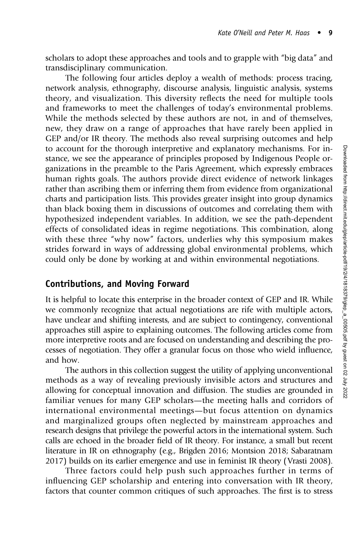scholars to adopt these approaches and tools and to grapple with "big data" and transdisciplinary communication.

The following four articles deploy a wealth of methods: process tracing, network analysis, ethnography, discourse analysis, linguistic analysis, systems theory, and visualization. This diversity reflects the need for multiple tools and frameworks to meet the challenges of today's environmental problems. While the methods selected by these authors are not, in and of themselves, new, they draw on a range of approaches that have rarely been applied in GEP and/or IR theory. The methods also reveal surprising outcomes and help to account for the thorough interpretive and explanatory mechanisms. For instance, we see the appearance of principles proposed by Indigenous People organizations in the preamble to the Paris Agreement, which expressly embraces human rights goals. The authors provide direct evidence of network linkages rather than ascribing them or inferring them from evidence from organizational charts and participation lists. This provides greater insight into group dynamics than black boxing them in discussions of outcomes and correlating them with hypothesized independent variables. In addition, we see the path-dependent effects of consolidated ideas in regime negotiations. This combination, along with these three "why now" factors, underlies why this symposium makes strides forward in ways of addressing global environmental problems, which could only be done by working at and within environmental negotiations.

#### Contributions, and Moving Forward

It is helpful to locate this enterprise in the broader context of GEP and IR. While we commonly recognize that actual negotiations are rife with multiple actors, have unclear and shifting interests, and are subject to contingency, conventional approaches still aspire to explaining outcomes. The following articles come from more interpretive roots and are focused on understanding and describing the processes of negotiation. They offer a granular focus on those who wield influence, and how.

The authors in this collection suggest the utility of applying unconventional methods as a way of revealing previously invisible actors and structures and allowing for conceptual innovation and diffusion. The studies are grounded in familiar venues for many GEP scholars—the meeting halls and corridors of international environmental meetings—but focus attention on dynamics and marginalized groups often neglected by mainstream approaches and research designs that privilege the powerful actors in the international system. Such calls are echoed in the broader field of IR theory. For instance, a small but recent literature in IR on ethnography (e.g., Brigden 2016; Montsion 2018; Sabaratnam 2017) builds on its earlier emergence and use in feminist IR theory (Vrasti 2008).

Three factors could help push such approaches further in terms of influencing GEP scholarship and entering into conversation with IR theory, factors that counter common critiques of such approaches. The first is to stress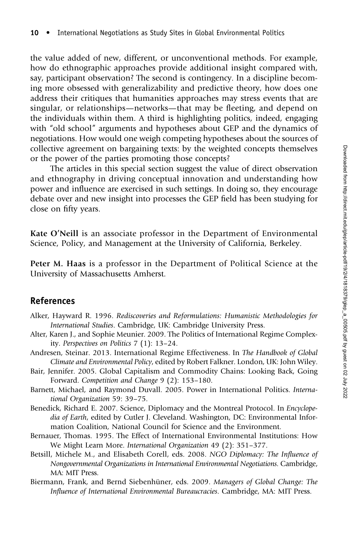the value added of new, different, or unconventional methods. For example, how do ethnographic approaches provide additional insight compared with, say, participant observation? The second is contingency. In a discipline becoming more obsessed with generalizability and predictive theory, how does one address their critiques that humanities approaches may stress events that are singular, or relationships—networks—that may be fleeting, and depend on the individuals within them. A third is highlighting politics, indeed, engaging with "old school" arguments and hypotheses about GEP and the dynamics of negotiations. How would one weigh competing hypotheses about the sources of collective agreement on bargaining texts: by the weighted concepts themselves or the power of the parties promoting those concepts?

The articles in this special section suggest the value of direct observation and ethnography in driving conceptual innovation and understanding how power and influence are exercised in such settings. In doing so, they encourage debate over and new insight into processes the GEP field has been studying for close on fifty years.

Kate O'Neill is an associate professor in the Department of Environmental Science, Policy, and Management at the University of California, Berkeley.

Peter M. Haas is a professor in the Department of Political Science at the University of Massachusetts Amherst.

#### References

- Alker, Hayward R. 1996. Rediscoveries and Reformulations: Humanistic Methodologies for International Studies. Cambridge, UK: Cambridge University Press.
- Alter, Karen J., and Sophie Meunier. 2009. The Politics of International Regime Complexity. Perspectives on Politics 7 (1): 13–24.
- Andresen, Steinar. 2013. International Regime Effectiveness. In The Handbook of Global Climate and Environmental Policy, edited by Robert Falkner. London, UK: John Wiley.
- Bair, Jennifer. 2005. Global Capitalism and Commodity Chains: Looking Back, Going Forward. Competition and Change 9 (2): 153–180.
- Barnett, Michael, and Raymond Duvall. 2005. Power in International Politics. International Organization 59: 39–75.
- Benedick, Richard E. 2007. Science, Diplomacy and the Montreal Protocol. In Encyclopedia of Earth, edited by Cutler J. Cleveland. Washington, DC: Environmental Information Coalition, National Council for Science and the Environment.
- Bernauer, Thomas. 1995. The Effect of International Environmental Institutions: How We Might Learn More. International Organization 49 (2): 351–377.
- Betsill, Michele M., and Elisabeth Corell, eds. 2008. NGO Diplomacy: The Influence of Nongovernmental Organizations in International Environmental Negotiations. Cambridge, MA: MIT Press.
- Biermann, Frank, and Bernd Siebenhüner, eds. 2009. Managers of Global Change: The Influence of International Environmental Bureaucracies. Cambridge, MA: MIT Press.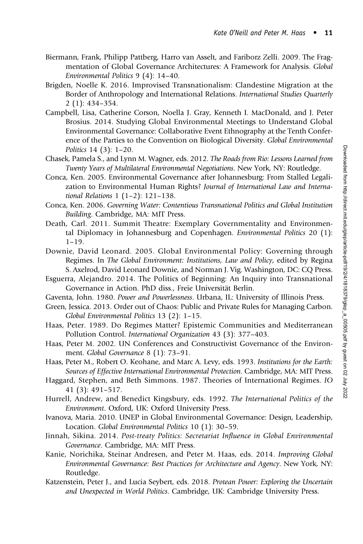- Biermann, Frank, Philipp Pattberg, Harro van Asselt, and Fariborz Zelli. 2009. The Fragmentation of Global Governance Architectures: A Framework for Analysis. Global Environmental Politics 9 (4): 14–40.
- Brigden, Noelle K. 2016. Improvised Transnationalism: Clandestine Migration at the Border of Anthropology and International Relations. International Studies Quarterly 2 (1): 434–354.
- Campbell, Lisa, Catherine Corson, Noella J. Gray, Kenneth I. MacDonald, and J. Peter Brosius. 2014. Studying Global Environmental Meetings to Understand Global Environmental Governance: Collaborative Event Ethnography at the Tenth Conference of the Parties to the Convention on Biological Diversity. Global Environmental Politics 14 (3): 1–20.
- Chasek, Pamela S., and Lynn M. Wagner, eds. 2012. The Roads from Rio: Lessons Learned from Twenty Years of Multilateral Environmental Negotiations. New York, NY: Routledge.
- Conca, Ken. 2005. Environmental Governance after Johannesburg: From Stalled Legalization to Environmental Human Rights? Journal of International Law and International Relations 1 (1–2): 121–138.
- Conca, Ken. 2006. Governing Water: Contentious Transnational Politics and Global Institution Building. Cambridge, MA: MIT Press.
- Death, Carl. 2011. Summit Theatre: Exemplary Governmentality and Environmental Diplomacy in Johannesburg and Copenhagen. Environmental Politics 20 (1): 1–19.
- Downie, David Leonard. 2005. Global Environmental Policy: Governing through Regimes. In The Global Environment: Institutions, Law and Policy, edited by Regina S. Axelrod, David Leonard Downie, and Norman J. Vig. Washington, DC: CQ Press.
- Esguerra, Alejandro. 2014. The Politics of Beginning: An Inquiry into Transnational Governance in Action. PhD diss., Freie Universität Berlin.
- Gaventa, John. 1980. Power and Powerlessness. Urbana, IL: University of Illinois Press.
- Green, Jessica. 2013. Order out of Chaos: Public and Private Rules for Managing Carbon. Global Environmental Politics 13 (2): 1–15.
- Haas, Peter. 1989. Do Regimes Matter? Epistemic Communities and Mediterranean Pollution Control. International Organization 43 (3): 377–403.
- Haas, Peter M. 2002. UN Conferences and Constructivist Governance of the Environment. Global Governance 8 (1): 73–91.
- Haas, Peter M., Robert O. Keohane, and Marc A. Levy, eds. 1993. Institutions for the Earth: Sources of Effective International Environmental Protection. Cambridge, MA: MIT Press.
- Haggard, Stephen, and Beth Simmons. 1987. Theories of International Regimes. IO 41 (3): 491–517.
- Hurrell, Andrew, and Benedict Kingsbury, eds. 1992. The International Politics of the Environment. Oxford, UK: Oxford University Press.
- Ivanova, Maria. 2010. UNEP in Global Environmental Governance: Design, Leadership, Location. Global Environmental Politics 10 (1): 30–59.
- Jinnah, Sikina. 2014. Post-treaty Politics: Secretariat Influence in Global Environmental Governance. Cambridge, MA: MIT Press.
- Kanie, Norichika, Steinar Andresen, and Peter M. Haas, eds. 2014. Improving Global Environmental Governance: Best Practices for Architecture and Agency. New York, NY: Routledge.
- Katzenstein, Peter J., and Lucia Seybert, eds. 2018. Protean Power: Exploring the Uncertain and Unexpected in World Politics. Cambridge, UK: Cambridge University Press.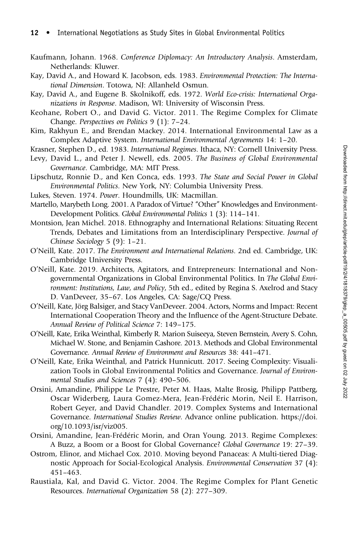- Kaufmann, Johann. 1968. Conference Diplomacy: An Introductory Analysis. Amsterdam, Netherlands: Kluwer.
- Kay, David A., and Howard K. Jacobson, eds. 1983. Environmental Protection: The International Dimension. Totowa, NJ: Allanheld Osmun.
- Kay, David A., and Eugene B. Skolnikoff, eds. 1972. World Eco-crisis: International Organizations in Response. Madison, WI: University of Wisconsin Press.
- Keohane, Robert O., and David G. Victor. 2011. The Regime Complex for Climate Change. Perspectives on Politics 9 (1): 7–24.
- Kim, Rakhyun E., and Brendan Mackey. 2014. International Environmental Law as a Complex Adaptive System. International Environmental Agreements 14: 1–20.
- Krasner, Stephen D., ed. 1983. International Regimes. Ithaca, NY: Cornell University Press.
- Levy, David L., and Peter J. Newell, eds. 2005. The Business of Global Environmental Governance. Cambridge, MA: MIT Press.
- Lipschutz, Ronnie D., and Ken Conca, eds. 1993. The State and Social Power in Global Environmental Politics. New York, NY: Columbia University Press.
- Lukes, Steven. 1974. Power. Houndmills, UK: Macmillan.
- Martello, Marybeth Long. 2001. A Paradox of Virtue? "Other" Knowledges and Environment-Development Politics. Global Environmental Politics 1 (3): 114–141.
- Montsion, Jean Michel. 2018. Ethnography and International Relations: Situating Recent Trends, Debates and Limitations from an Interdisciplinary Perspective. Journal of Chinese Sociology 5 (9): 1–21.
- O'Neill, Kate. 2017. The Environment and International Relations. 2nd ed. Cambridge, UK: Cambridge University Press.
- O'Neill, Kate. 2019. Architects, Agitators, and Entrepreneurs: International and Nongovernmental Organizations in Global Environmental Politics. In The Global Environment: Institutions, Law, and Policy, 5th ed., edited by Regina S. Axelrod and Stacy D. VanDeveer, 35–67. Los Angeles, CA: Sage/CQ Press.
- O'Neill, Kate, Jörg Balsiger, and Stacy VanDeveer. 2004. Actors, Norms and Impact: Recent International Cooperation Theory and the Influence of the Agent-Structure Debate. Annual Review of Political Science 7: 149–175.
- O'Neill, Kate, Erika Weinthal, Kimberly R. Marion Suiseeya, Steven Bernstein, Avery S. Cohn, Michael W. Stone, and Benjamin Cashore. 2013. Methods and Global Environmental Governance. Annual Review of Environment and Resources 38: 441–471.
- O'Neill, Kate, Erika Weinthal, and Patrick Hunnicutt. 2017. Seeing Complexity: Visualization Tools in Global Environmental Politics and Governance. Journal of Environmental Studies and Sciences 7 (4): 490–506.
- Orsini, Amandine, Philippe Le Prestre, Peter M. Haas, Malte Brosig, Philipp Pattberg, Oscar Widerberg, Laura Gomez-Mera, Jean-Frédéric Morin, Neil E. Harrison, Robert Geyer, and David Chandler. 2019. Complex Systems and International Governance. International Studies Review. Advance online publication[. https://doi.]( https://doi. org/10.1093/isr/viz005) [org/10.1093/isr/viz005.]( https://doi. org/10.1093/isr/viz005)
- Orsini, Amandine, Jean-Frédéric Morin, and Oran Young. 2013. Regime Complexes: A Buzz, a Boom or a Boost for Global Governance? Global Governance 19: 27–39.
- Ostrom, Elinor, and Michael Cox. 2010. Moving beyond Panaceas: A Multi-tiered Diagnostic Approach for Social-Ecological Analysis. Environmental Conservation 37 (4): 451–463.
- Raustiala, Kal, and David G. Victor. 2004. The Regime Complex for Plant Genetic Resources. International Organization 58 (2): 277–309.